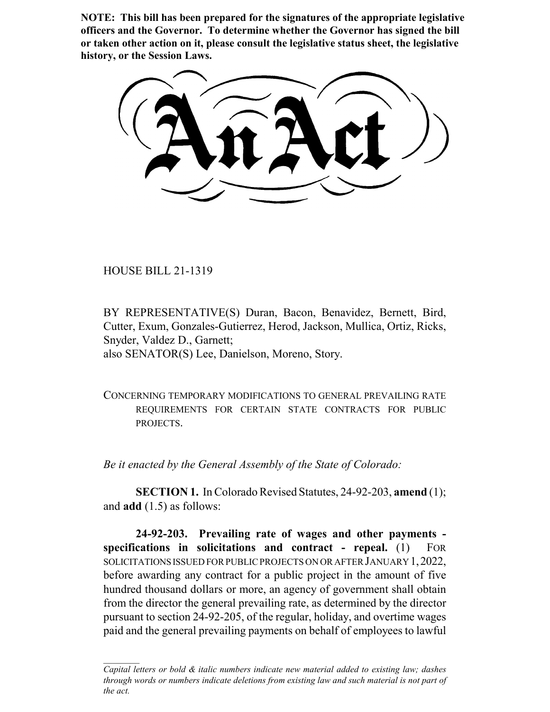**NOTE: This bill has been prepared for the signatures of the appropriate legislative officers and the Governor. To determine whether the Governor has signed the bill or taken other action on it, please consult the legislative status sheet, the legislative history, or the Session Laws.**

HOUSE BILL 21-1319

BY REPRESENTATIVE(S) Duran, Bacon, Benavidez, Bernett, Bird, Cutter, Exum, Gonzales-Gutierrez, Herod, Jackson, Mullica, Ortiz, Ricks, Snyder, Valdez D., Garnett; also SENATOR(S) Lee, Danielson, Moreno, Story.

CONCERNING TEMPORARY MODIFICATIONS TO GENERAL PREVAILING RATE REQUIREMENTS FOR CERTAIN STATE CONTRACTS FOR PUBLIC PROJECTS.

*Be it enacted by the General Assembly of the State of Colorado:*

**SECTION 1.** In Colorado Revised Statutes, 24-92-203, **amend** (1); and **add** (1.5) as follows:

**24-92-203. Prevailing rate of wages and other payments specifications in solicitations and contract - repeal.** (1) FOR SOLICITATIONS ISSUED FOR PUBLIC PROJECTS ON OR AFTER JANUARY 1,2022, before awarding any contract for a public project in the amount of five hundred thousand dollars or more, an agency of government shall obtain from the director the general prevailing rate, as determined by the director pursuant to section 24-92-205, of the regular, holiday, and overtime wages paid and the general prevailing payments on behalf of employees to lawful

*Capital letters or bold & italic numbers indicate new material added to existing law; dashes through words or numbers indicate deletions from existing law and such material is not part of the act.*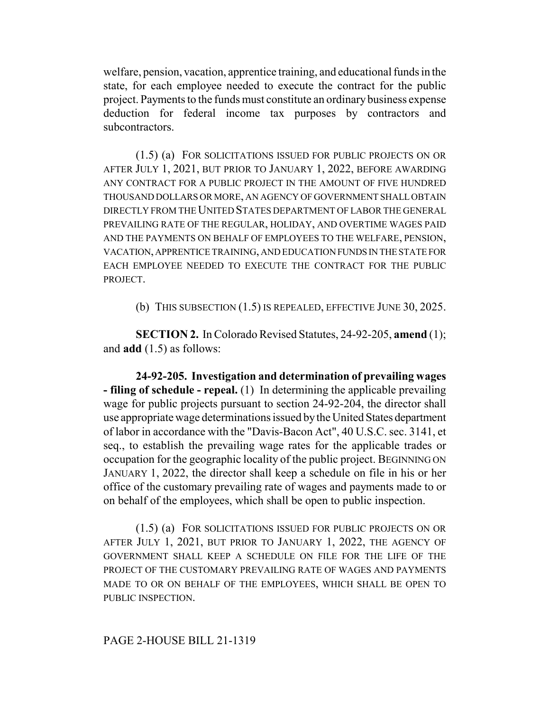welfare, pension, vacation, apprentice training, and educational funds in the state, for each employee needed to execute the contract for the public project. Payments to the funds must constitute an ordinary business expense deduction for federal income tax purposes by contractors and subcontractors.

(1.5) (a) FOR SOLICITATIONS ISSUED FOR PUBLIC PROJECTS ON OR AFTER JULY 1, 2021, BUT PRIOR TO JANUARY 1, 2022, BEFORE AWARDING ANY CONTRACT FOR A PUBLIC PROJECT IN THE AMOUNT OF FIVE HUNDRED THOUSAND DOLLARS OR MORE, AN AGENCY OF GOVERNMENT SHALL OBTAIN DIRECTLY FROM THE UNITED STATES DEPARTMENT OF LABOR THE GENERAL PREVAILING RATE OF THE REGULAR, HOLIDAY, AND OVERTIME WAGES PAID AND THE PAYMENTS ON BEHALF OF EMPLOYEES TO THE WELFARE, PENSION, VACATION, APPRENTICE TRAINING, AND EDUCATION FUNDS IN THE STATE FOR EACH EMPLOYEE NEEDED TO EXECUTE THE CONTRACT FOR THE PUBLIC PROJECT.

(b) THIS SUBSECTION (1.5) IS REPEALED, EFFECTIVE JUNE 30, 2025.

**SECTION 2.** In Colorado Revised Statutes, 24-92-205, **amend** (1); and **add** (1.5) as follows:

**24-92-205. Investigation and determination of prevailing wages - filing of schedule - repeal.** (1) In determining the applicable prevailing wage for public projects pursuant to section 24-92-204, the director shall use appropriate wage determinations issued by the United States department of labor in accordance with the "Davis-Bacon Act", 40 U.S.C. sec. 3141, et seq., to establish the prevailing wage rates for the applicable trades or occupation for the geographic locality of the public project. BEGINNING ON JANUARY 1, 2022, the director shall keep a schedule on file in his or her office of the customary prevailing rate of wages and payments made to or on behalf of the employees, which shall be open to public inspection.

(1.5) (a) FOR SOLICITATIONS ISSUED FOR PUBLIC PROJECTS ON OR AFTER JULY 1, 2021, BUT PRIOR TO JANUARY 1, 2022, THE AGENCY OF GOVERNMENT SHALL KEEP A SCHEDULE ON FILE FOR THE LIFE OF THE PROJECT OF THE CUSTOMARY PREVAILING RATE OF WAGES AND PAYMENTS MADE TO OR ON BEHALF OF THE EMPLOYEES, WHICH SHALL BE OPEN TO PUBLIC INSPECTION.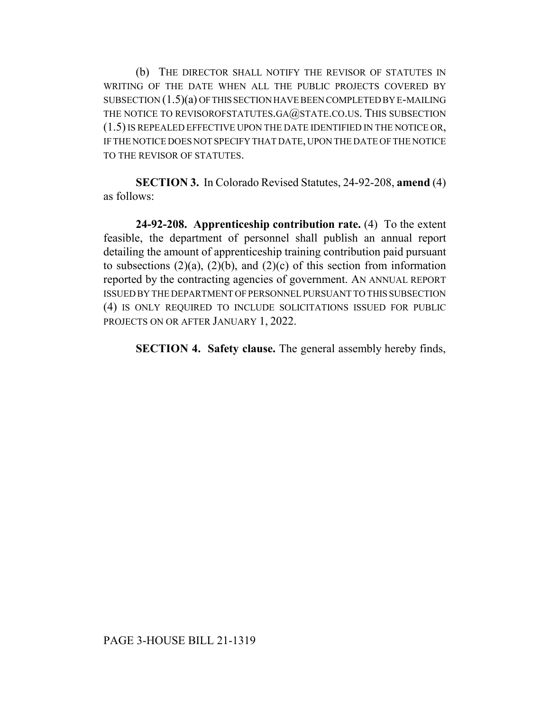(b) THE DIRECTOR SHALL NOTIFY THE REVISOR OF STATUTES IN WRITING OF THE DATE WHEN ALL THE PUBLIC PROJECTS COVERED BY SUBSECTION (1.5)(a) OF THIS SECTION HAVE BEEN COMPLETED BY E-MAILING THE NOTICE TO REVISOROFSTATUTES.GA@STATE.CO.US. THIS SUBSECTION (1.5) IS REPEALED EFFECTIVE UPON THE DATE IDENTIFIED IN THE NOTICE OR, IF THE NOTICE DOES NOT SPECIFY THAT DATE, UPON THE DATE OF THE NOTICE TO THE REVISOR OF STATUTES.

**SECTION 3.** In Colorado Revised Statutes, 24-92-208, **amend** (4) as follows:

**24-92-208. Apprenticeship contribution rate.** (4) To the extent feasible, the department of personnel shall publish an annual report detailing the amount of apprenticeship training contribution paid pursuant to subsections  $(2)(a)$ ,  $(2)(b)$ , and  $(2)(c)$  of this section from information reported by the contracting agencies of government. AN ANNUAL REPORT ISSUED BY THE DEPARTMENT OF PERSONNEL PURSUANT TO THIS SUBSECTION (4) IS ONLY REQUIRED TO INCLUDE SOLICITATIONS ISSUED FOR PUBLIC PROJECTS ON OR AFTER JANUARY 1, 2022.

**SECTION 4. Safety clause.** The general assembly hereby finds,